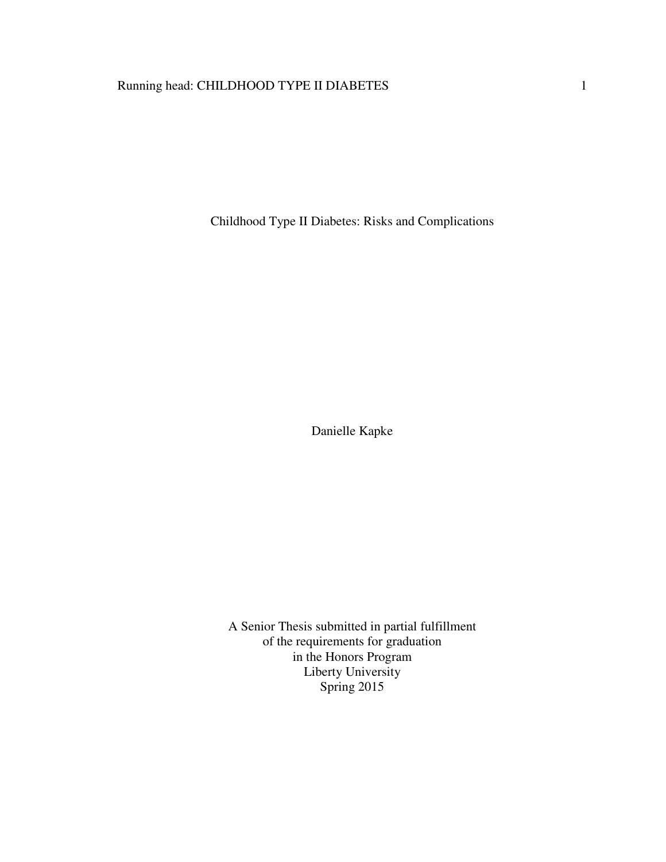# Running head: CHILDHOOD TYPE II DIABETES 1

Childhood Type II Diabetes: Risks and Complications

Danielle Kapke

A Senior Thesis submitted in partial fulfillment of the requirements for graduation in the Honors Program Liberty University Spring 2015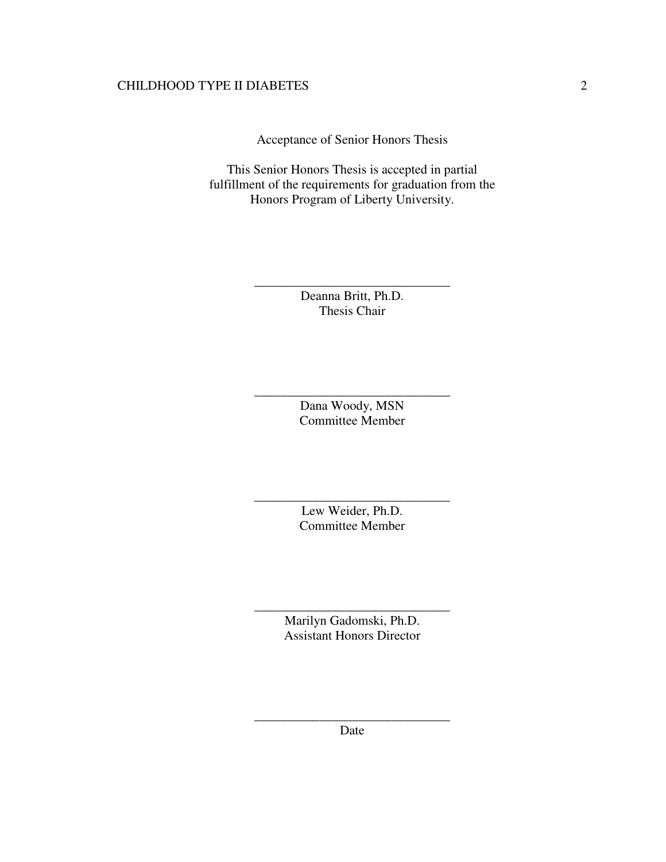Acceptance of Senior Honors Thesis

This Senior Honors Thesis is accepted in partial fulfillment of the requirements for graduation from the Honors Program of Liberty University.

> Deanna Britt, Ph.D. Thesis Chair

\_\_\_\_\_\_\_\_\_\_\_\_\_\_\_\_\_\_\_\_\_\_\_\_\_\_\_\_\_\_

Dana Woody, MSN Committee Member

\_\_\_\_\_\_\_\_\_\_\_\_\_\_\_\_\_\_\_\_\_\_\_\_\_\_\_\_\_\_

Lew Weider, Ph.D. Committee Member

\_\_\_\_\_\_\_\_\_\_\_\_\_\_\_\_\_\_\_\_\_\_\_\_\_\_\_\_\_\_

Marilyn Gadomski, Ph.D. Assistant Honors Director

\_\_\_\_\_\_\_\_\_\_\_\_\_\_\_\_\_\_\_\_\_\_\_\_\_\_\_\_\_\_

\_\_\_\_\_\_\_\_\_\_\_\_\_\_\_\_\_\_\_\_\_\_\_\_\_\_\_\_\_\_ Date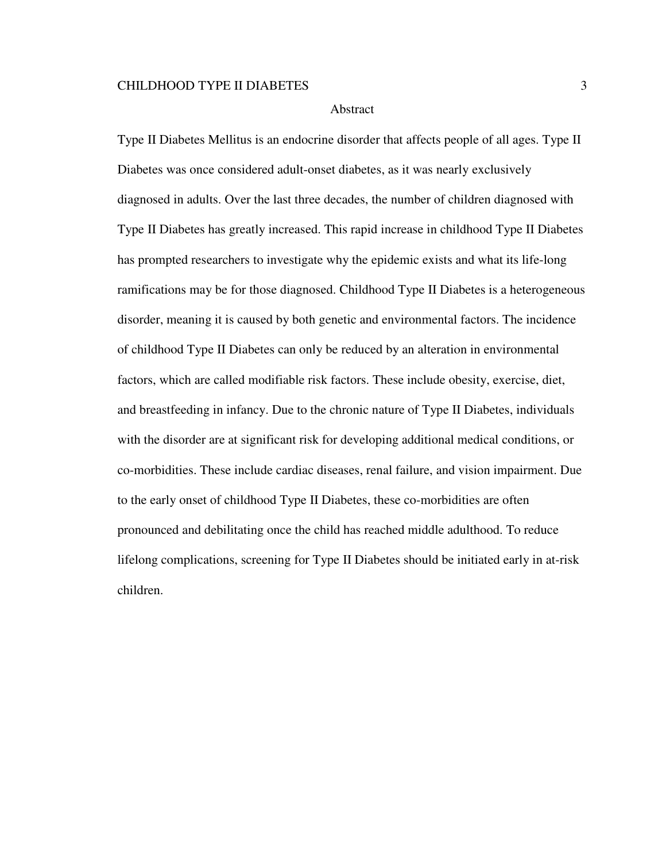#### Abstract

Type II Diabetes Mellitus is an endocrine disorder that affects people of all ages. Type II Diabetes was once considered adult-onset diabetes, as it was nearly exclusively diagnosed in adults. Over the last three decades, the number of children diagnosed with Type II Diabetes has greatly increased. This rapid increase in childhood Type II Diabetes has prompted researchers to investigate why the epidemic exists and what its life-long ramifications may be for those diagnosed. Childhood Type II Diabetes is a heterogeneous disorder, meaning it is caused by both genetic and environmental factors. The incidence of childhood Type II Diabetes can only be reduced by an alteration in environmental factors, which are called modifiable risk factors. These include obesity, exercise, diet, and breastfeeding in infancy. Due to the chronic nature of Type II Diabetes, individuals with the disorder are at significant risk for developing additional medical conditions, or co-morbidities. These include cardiac diseases, renal failure, and vision impairment. Due to the early onset of childhood Type II Diabetes, these co-morbidities are often pronounced and debilitating once the child has reached middle adulthood. To reduce lifelong complications, screening for Type II Diabetes should be initiated early in at-risk children.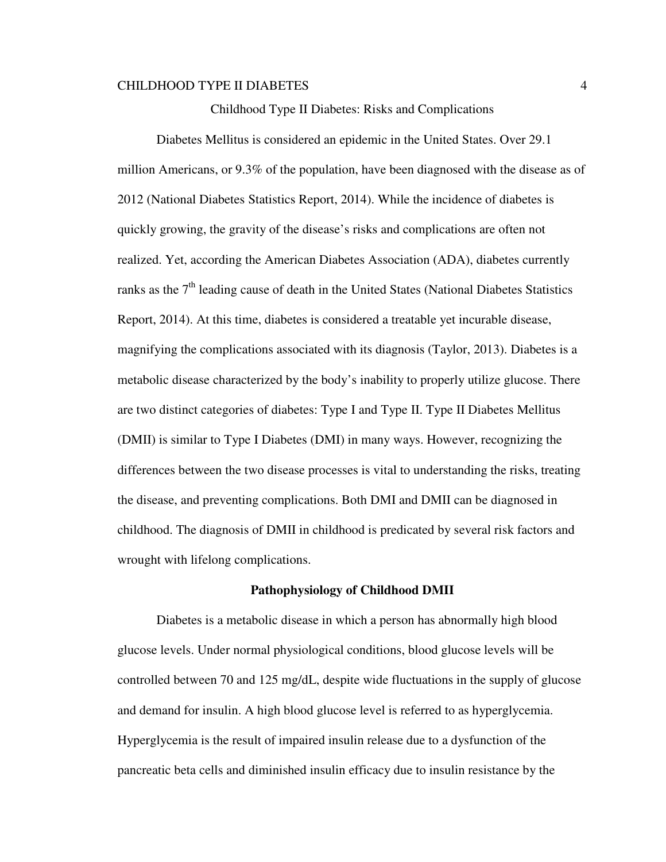Childhood Type II Diabetes: Risks and Complications

 Diabetes Mellitus is considered an epidemic in the United States. Over 29.1 million Americans, or 9.3% of the population, have been diagnosed with the disease as of 2012 (National Diabetes Statistics Report, 2014). While the incidence of diabetes is quickly growing, the gravity of the disease's risks and complications are often not realized. Yet, according the American Diabetes Association (ADA), diabetes currently ranks as the  $7<sup>th</sup>$  leading cause of death in the United States (National Diabetes Statistics Report, 2014). At this time, diabetes is considered a treatable yet incurable disease, magnifying the complications associated with its diagnosis (Taylor, 2013). Diabetes is a metabolic disease characterized by the body's inability to properly utilize glucose. There are two distinct categories of diabetes: Type I and Type II. Type II Diabetes Mellitus (DMII) is similar to Type I Diabetes (DMI) in many ways. However, recognizing the differences between the two disease processes is vital to understanding the risks, treating the disease, and preventing complications. Both DMI and DMII can be diagnosed in childhood. The diagnosis of DMII in childhood is predicated by several risk factors and wrought with lifelong complications.

#### **Pathophysiology of Childhood DMII**

Diabetes is a metabolic disease in which a person has abnormally high blood glucose levels. Under normal physiological conditions, blood glucose levels will be controlled between 70 and 125 mg/dL, despite wide fluctuations in the supply of glucose and demand for insulin. A high blood glucose level is referred to as hyperglycemia. Hyperglycemia is the result of impaired insulin release due to a dysfunction of the pancreatic beta cells and diminished insulin efficacy due to insulin resistance by the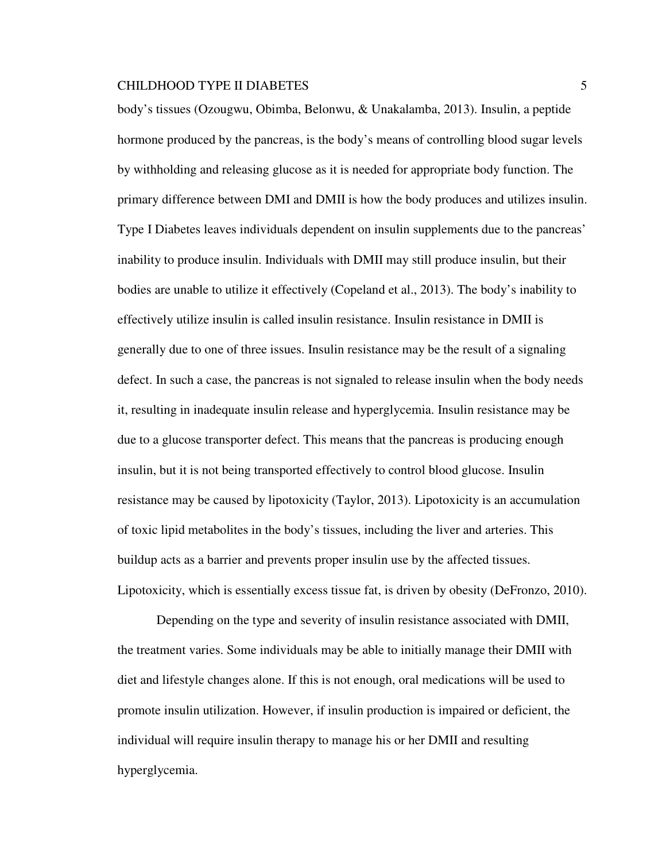body's tissues (Ozougwu, Obimba, Belonwu, & Unakalamba, 2013). Insulin, a peptide hormone produced by the pancreas, is the body's means of controlling blood sugar levels by withholding and releasing glucose as it is needed for appropriate body function. The primary difference between DMI and DMII is how the body produces and utilizes insulin. Type I Diabetes leaves individuals dependent on insulin supplements due to the pancreas' inability to produce insulin. Individuals with DMII may still produce insulin, but their bodies are unable to utilize it effectively (Copeland et al., 2013). The body's inability to effectively utilize insulin is called insulin resistance. Insulin resistance in DMII is generally due to one of three issues. Insulin resistance may be the result of a signaling defect. In such a case, the pancreas is not signaled to release insulin when the body needs it, resulting in inadequate insulin release and hyperglycemia. Insulin resistance may be due to a glucose transporter defect. This means that the pancreas is producing enough insulin, but it is not being transported effectively to control blood glucose. Insulin resistance may be caused by lipotoxicity (Taylor, 2013). Lipotoxicity is an accumulation of toxic lipid metabolites in the body's tissues, including the liver and arteries. This buildup acts as a barrier and prevents proper insulin use by the affected tissues. Lipotoxicity, which is essentially excess tissue fat, is driven by obesity (DeFronzo, 2010).

Depending on the type and severity of insulin resistance associated with DMII, the treatment varies. Some individuals may be able to initially manage their DMII with diet and lifestyle changes alone. If this is not enough, oral medications will be used to promote insulin utilization. However, if insulin production is impaired or deficient, the individual will require insulin therapy to manage his or her DMII and resulting hyperglycemia.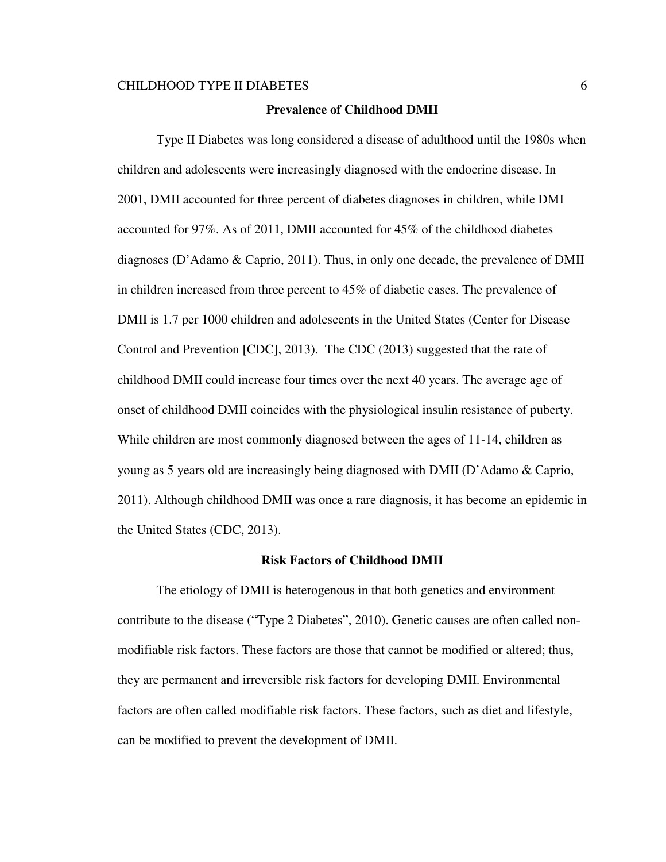#### **Prevalence of Childhood DMII**

 Type II Diabetes was long considered a disease of adulthood until the 1980s when children and adolescents were increasingly diagnosed with the endocrine disease. In 2001, DMII accounted for three percent of diabetes diagnoses in children, while DMI accounted for 97%. As of 2011, DMII accounted for 45% of the childhood diabetes diagnoses (D'Adamo & Caprio, 2011). Thus, in only one decade, the prevalence of DMII in children increased from three percent to 45% of diabetic cases. The prevalence of DMII is 1.7 per 1000 children and adolescents in the United States (Center for Disease Control and Prevention [CDC], 2013). The CDC (2013) suggested that the rate of childhood DMII could increase four times over the next 40 years. The average age of onset of childhood DMII coincides with the physiological insulin resistance of puberty. While children are most commonly diagnosed between the ages of 11-14, children as young as 5 years old are increasingly being diagnosed with DMII (D'Adamo & Caprio, 2011). Although childhood DMII was once a rare diagnosis, it has become an epidemic in the United States (CDC, 2013).

#### **Risk Factors of Childhood DMII**

 The etiology of DMII is heterogenous in that both genetics and environment contribute to the disease ("Type 2 Diabetes", 2010). Genetic causes are often called nonmodifiable risk factors. These factors are those that cannot be modified or altered; thus, they are permanent and irreversible risk factors for developing DMII. Environmental factors are often called modifiable risk factors. These factors, such as diet and lifestyle, can be modified to prevent the development of DMII.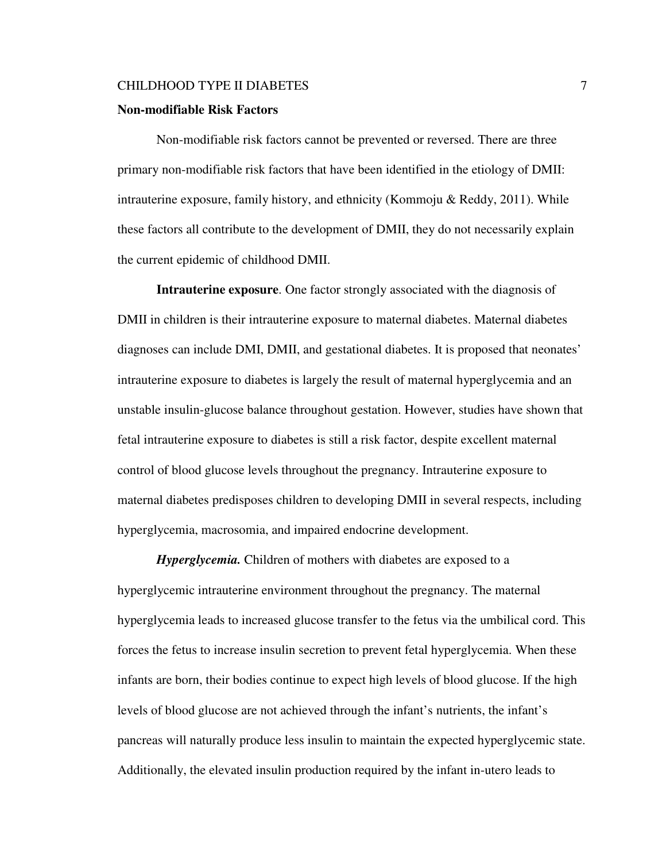#### **Non-modifiable Risk Factors**

 Non-modifiable risk factors cannot be prevented or reversed. There are three primary non-modifiable risk factors that have been identified in the etiology of DMII: intrauterine exposure, family history, and ethnicity (Kommoju & Reddy, 2011). While these factors all contribute to the development of DMII, they do not necessarily explain the current epidemic of childhood DMII.

**Intrauterine exposure**. One factor strongly associated with the diagnosis of DMII in children is their intrauterine exposure to maternal diabetes. Maternal diabetes diagnoses can include DMI, DMII, and gestational diabetes. It is proposed that neonates' intrauterine exposure to diabetes is largely the result of maternal hyperglycemia and an unstable insulin-glucose balance throughout gestation. However, studies have shown that fetal intrauterine exposure to diabetes is still a risk factor, despite excellent maternal control of blood glucose levels throughout the pregnancy. Intrauterine exposure to maternal diabetes predisposes children to developing DMII in several respects, including hyperglycemia, macrosomia, and impaired endocrine development.

*Hyperglycemia.* Children of mothers with diabetes are exposed to a hyperglycemic intrauterine environment throughout the pregnancy. The maternal hyperglycemia leads to increased glucose transfer to the fetus via the umbilical cord. This forces the fetus to increase insulin secretion to prevent fetal hyperglycemia. When these infants are born, their bodies continue to expect high levels of blood glucose. If the high levels of blood glucose are not achieved through the infant's nutrients, the infant's pancreas will naturally produce less insulin to maintain the expected hyperglycemic state. Additionally, the elevated insulin production required by the infant in-utero leads to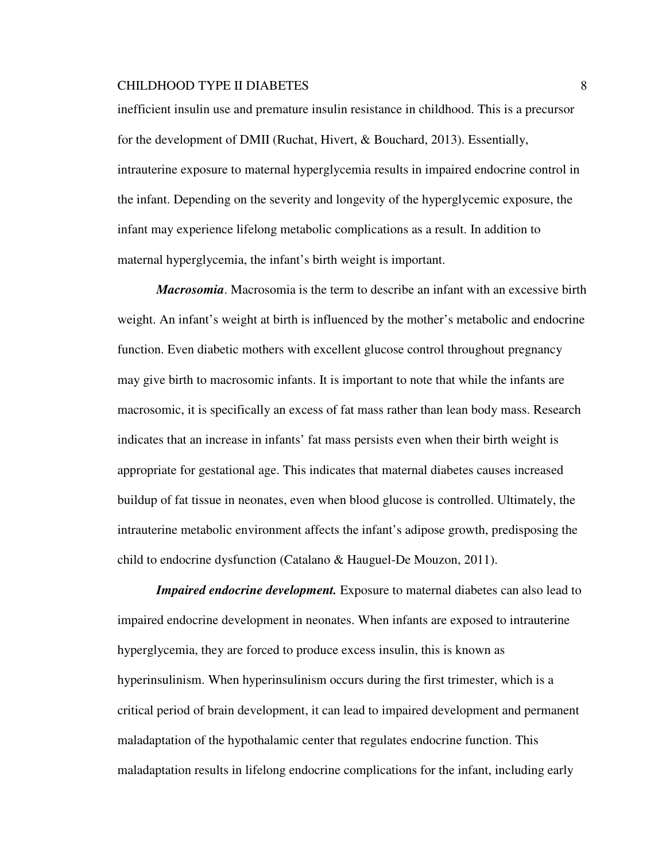inefficient insulin use and premature insulin resistance in childhood. This is a precursor for the development of DMII (Ruchat, Hivert, & Bouchard, 2013). Essentially, intrauterine exposure to maternal hyperglycemia results in impaired endocrine control in the infant. Depending on the severity and longevity of the hyperglycemic exposure, the infant may experience lifelong metabolic complications as a result. In addition to maternal hyperglycemia, the infant's birth weight is important.

*Macrosomia*. Macrosomia is the term to describe an infant with an excessive birth weight. An infant's weight at birth is influenced by the mother's metabolic and endocrine function. Even diabetic mothers with excellent glucose control throughout pregnancy may give birth to macrosomic infants. It is important to note that while the infants are macrosomic, it is specifically an excess of fat mass rather than lean body mass. Research indicates that an increase in infants' fat mass persists even when their birth weight is appropriate for gestational age. This indicates that maternal diabetes causes increased buildup of fat tissue in neonates, even when blood glucose is controlled. Ultimately, the intrauterine metabolic environment affects the infant's adipose growth, predisposing the child to endocrine dysfunction (Catalano & Hauguel-De Mouzon, 2011).

*Impaired endocrine development.* Exposure to maternal diabetes can also lead to impaired endocrine development in neonates. When infants are exposed to intrauterine hyperglycemia, they are forced to produce excess insulin, this is known as hyperinsulinism. When hyperinsulinism occurs during the first trimester, which is a critical period of brain development, it can lead to impaired development and permanent maladaptation of the hypothalamic center that regulates endocrine function. This maladaptation results in lifelong endocrine complications for the infant, including early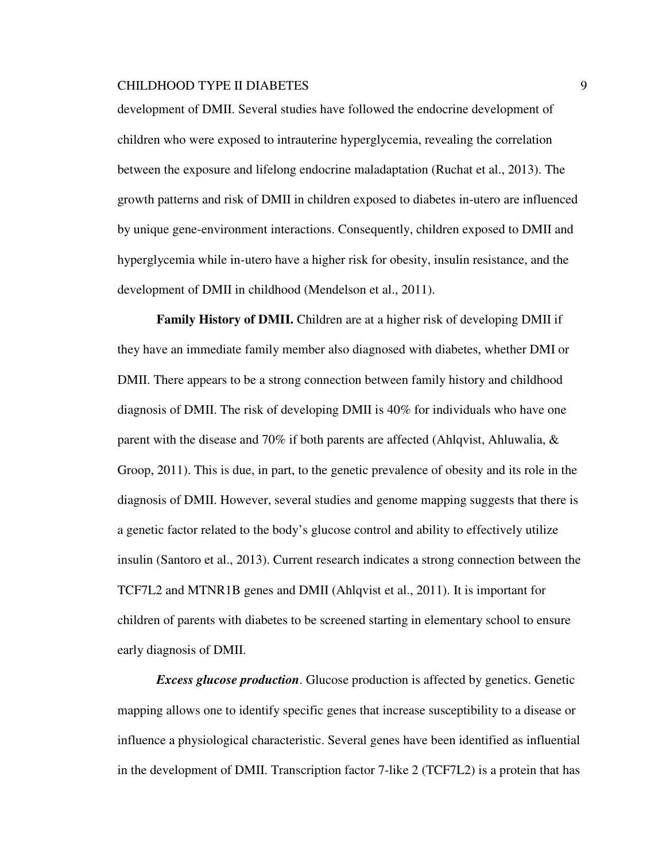development of DMII. Several studies have followed the endocrine development of children who were exposed to intrauterine hyperglycemia, revealing the correlation between the exposure and lifelong endocrine maladaptation (Ruchat et al., 2013). The growth patterns and risk of DMII in children exposed to diabetes in-utero are influenced by unique gene-environment interactions. Consequently, children exposed to DMII and hyperglycemia while in-utero have a higher risk for obesity, insulin resistance, and the development of DMII in childhood (Mendelson et al., 2011).

**Family History of DMII.** Children are at a higher risk of developing DMII if they have an immediate family member also diagnosed with diabetes, whether DMI or DMII. There appears to be a strong connection between family history and childhood diagnosis of DMII. The risk of developing DMII is 40% for individuals who have one parent with the disease and 70% if both parents are affected (Ahlqvist, Ahluwalia, & Groop, 2011). This is due, in part, to the genetic prevalence of obesity and its role in the diagnosis of DMII. However, several studies and genome mapping suggests that there is a genetic factor related to the body's glucose control and ability to effectively utilize insulin (Santoro et al., 2013). Current research indicates a strong connection between the TCF7L2 and MTNR1B genes and DMII (Ahlqvist et al., 2011). It is important for children of parents with diabetes to be screened starting in elementary school to ensure early diagnosis of DMII.

*Excess glucose production*. Glucose production is affected by genetics. Genetic mapping allows one to identify specific genes that increase susceptibility to a disease or influence a physiological characteristic. Several genes have been identified as influential in the development of DMII. Transcription factor 7-like 2 (TCF7L2) is a protein that has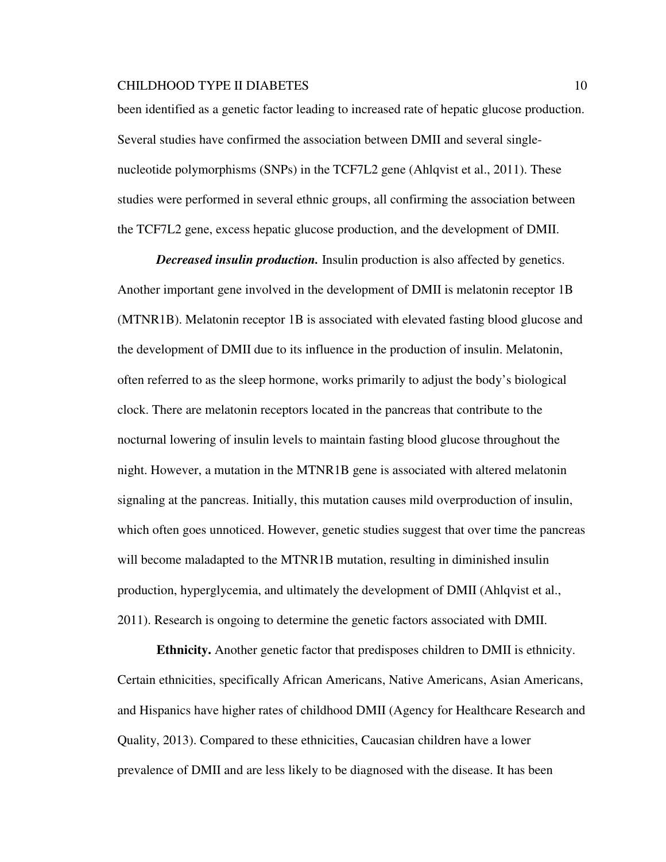been identified as a genetic factor leading to increased rate of hepatic glucose production. Several studies have confirmed the association between DMII and several singlenucleotide polymorphisms (SNPs) in the TCF7L2 gene (Ahlqvist et al., 2011). These studies were performed in several ethnic groups, all confirming the association between the TCF7L2 gene, excess hepatic glucose production, and the development of DMII.

*Decreased insulin production.* Insulin production is also affected by genetics. Another important gene involved in the development of DMII is melatonin receptor 1B (MTNR1B). Melatonin receptor 1B is associated with elevated fasting blood glucose and the development of DMII due to its influence in the production of insulin. Melatonin, often referred to as the sleep hormone, works primarily to adjust the body's biological clock. There are melatonin receptors located in the pancreas that contribute to the nocturnal lowering of insulin levels to maintain fasting blood glucose throughout the night. However, a mutation in the MTNR1B gene is associated with altered melatonin signaling at the pancreas. Initially, this mutation causes mild overproduction of insulin, which often goes unnoticed. However, genetic studies suggest that over time the pancreas will become maladapted to the MTNR1B mutation, resulting in diminished insulin production, hyperglycemia, and ultimately the development of DMII (Ahlqvist et al., 2011). Research is ongoing to determine the genetic factors associated with DMII.

**Ethnicity.** Another genetic factor that predisposes children to DMII is ethnicity. Certain ethnicities, specifically African Americans, Native Americans, Asian Americans, and Hispanics have higher rates of childhood DMII (Agency for Healthcare Research and Quality, 2013). Compared to these ethnicities, Caucasian children have a lower prevalence of DMII and are less likely to be diagnosed with the disease. It has been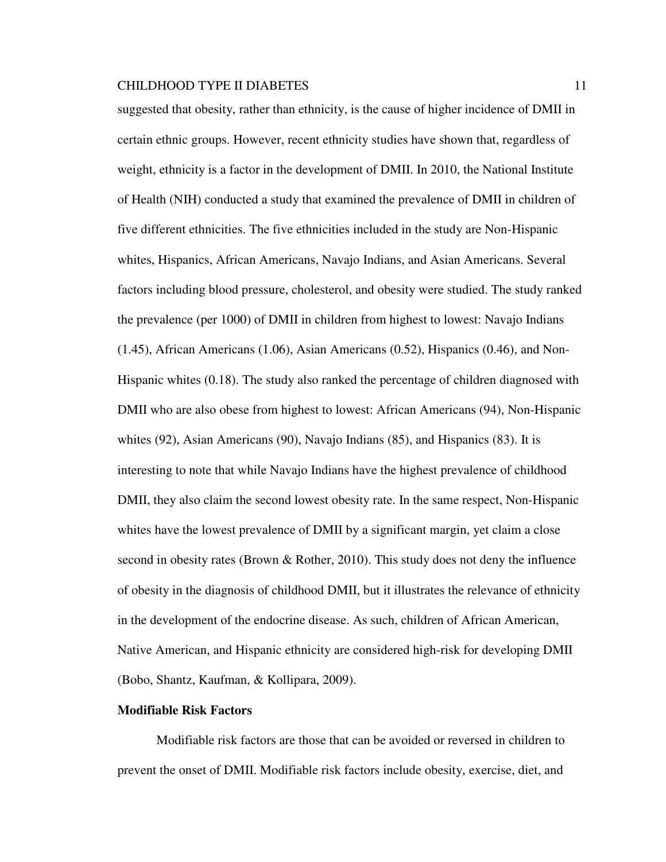suggested that obesity, rather than ethnicity, is the cause of higher incidence of DMII in certain ethnic groups. However, recent ethnicity studies have shown that, regardless of weight, ethnicity is a factor in the development of DMII. In 2010, the National Institute of Health (NIH) conducted a study that examined the prevalence of DMII in children of five different ethnicities. The five ethnicities included in the study are Non-Hispanic whites, Hispanics, African Americans, Navajo Indians, and Asian Americans. Several factors including blood pressure, cholesterol, and obesity were studied. The study ranked the prevalence (per 1000) of DMII in children from highest to lowest: Navajo Indians (1.45), African Americans (1.06), Asian Americans (0.52), Hispanics (0.46), and Non-Hispanic whites (0.18). The study also ranked the percentage of children diagnosed with DMII who are also obese from highest to lowest: African Americans (94), Non-Hispanic whites (92), Asian Americans (90), Navajo Indians (85), and Hispanics (83). It is interesting to note that while Navajo Indians have the highest prevalence of childhood DMII, they also claim the second lowest obesity rate. In the same respect, Non-Hispanic whites have the lowest prevalence of DMII by a significant margin, yet claim a close second in obesity rates (Brown & Rother, 2010). This study does not deny the influence of obesity in the diagnosis of childhood DMII, but it illustrates the relevance of ethnicity in the development of the endocrine disease. As such, children of African American, Native American, and Hispanic ethnicity are considered high-risk for developing DMII (Bobo, Shantz, Kaufman, & Kollipara, 2009).

#### **Modifiable Risk Factors**

Modifiable risk factors are those that can be avoided or reversed in children to prevent the onset of DMII. Modifiable risk factors include obesity, exercise, diet, and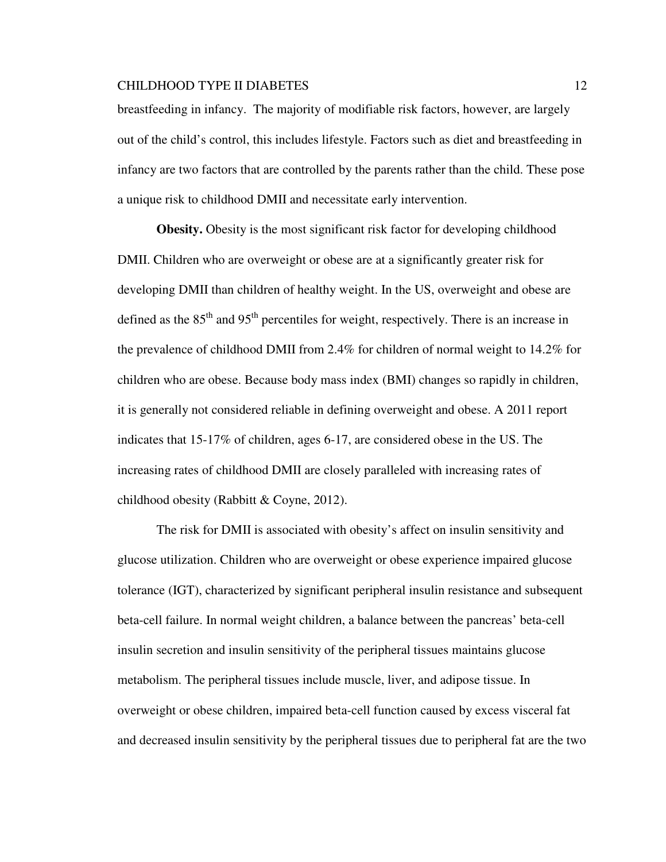breastfeeding in infancy. The majority of modifiable risk factors, however, are largely out of the child's control, this includes lifestyle. Factors such as diet and breastfeeding in infancy are two factors that are controlled by the parents rather than the child. These pose a unique risk to childhood DMII and necessitate early intervention.

**Obesity.** Obesity is the most significant risk factor for developing childhood DMII. Children who are overweight or obese are at a significantly greater risk for developing DMII than children of healthy weight. In the US, overweight and obese are defined as the  $85<sup>th</sup>$  and  $95<sup>th</sup>$  percentiles for weight, respectively. There is an increase in the prevalence of childhood DMII from 2.4% for children of normal weight to 14.2% for children who are obese. Because body mass index (BMI) changes so rapidly in children, it is generally not considered reliable in defining overweight and obese. A 2011 report indicates that 15-17% of children, ages 6-17, are considered obese in the US. The increasing rates of childhood DMII are closely paralleled with increasing rates of childhood obesity (Rabbitt & Coyne, 2012).

The risk for DMII is associated with obesity's affect on insulin sensitivity and glucose utilization. Children who are overweight or obese experience impaired glucose tolerance (IGT), characterized by significant peripheral insulin resistance and subsequent beta-cell failure. In normal weight children, a balance between the pancreas' beta-cell insulin secretion and insulin sensitivity of the peripheral tissues maintains glucose metabolism. The peripheral tissues include muscle, liver, and adipose tissue. In overweight or obese children, impaired beta-cell function caused by excess visceral fat and decreased insulin sensitivity by the peripheral tissues due to peripheral fat are the two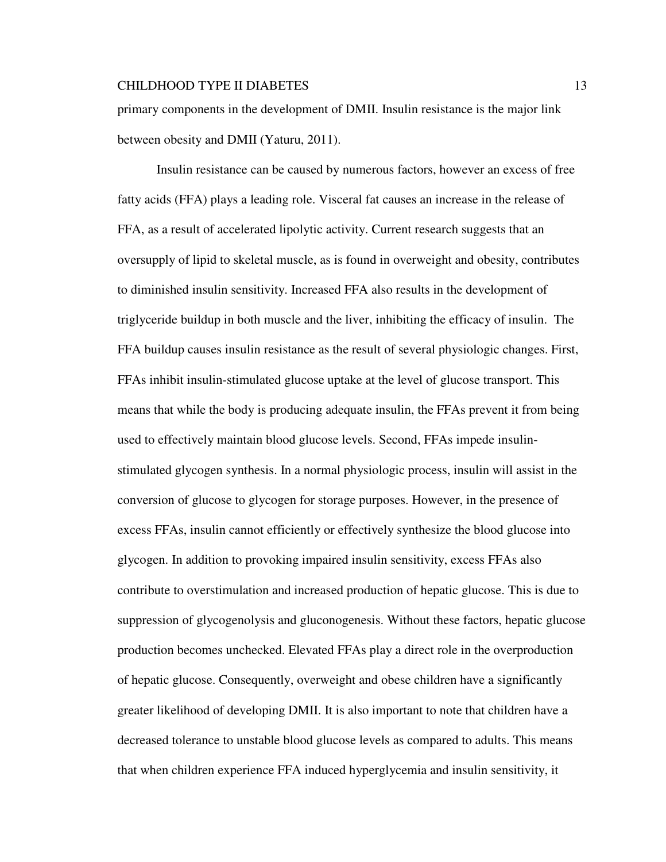primary components in the development of DMII. Insulin resistance is the major link between obesity and DMII (Yaturu, 2011).

Insulin resistance can be caused by numerous factors, however an excess of free fatty acids (FFA) plays a leading role. Visceral fat causes an increase in the release of FFA, as a result of accelerated lipolytic activity. Current research suggests that an oversupply of lipid to skeletal muscle, as is found in overweight and obesity, contributes to diminished insulin sensitivity. Increased FFA also results in the development of triglyceride buildup in both muscle and the liver, inhibiting the efficacy of insulin. The FFA buildup causes insulin resistance as the result of several physiologic changes. First, FFAs inhibit insulin-stimulated glucose uptake at the level of glucose transport. This means that while the body is producing adequate insulin, the FFAs prevent it from being used to effectively maintain blood glucose levels. Second, FFAs impede insulinstimulated glycogen synthesis. In a normal physiologic process, insulin will assist in the conversion of glucose to glycogen for storage purposes. However, in the presence of excess FFAs, insulin cannot efficiently or effectively synthesize the blood glucose into glycogen. In addition to provoking impaired insulin sensitivity, excess FFAs also contribute to overstimulation and increased production of hepatic glucose. This is due to suppression of glycogenolysis and gluconogenesis. Without these factors, hepatic glucose production becomes unchecked. Elevated FFAs play a direct role in the overproduction of hepatic glucose. Consequently, overweight and obese children have a significantly greater likelihood of developing DMII. It is also important to note that children have a decreased tolerance to unstable blood glucose levels as compared to adults. This means that when children experience FFA induced hyperglycemia and insulin sensitivity, it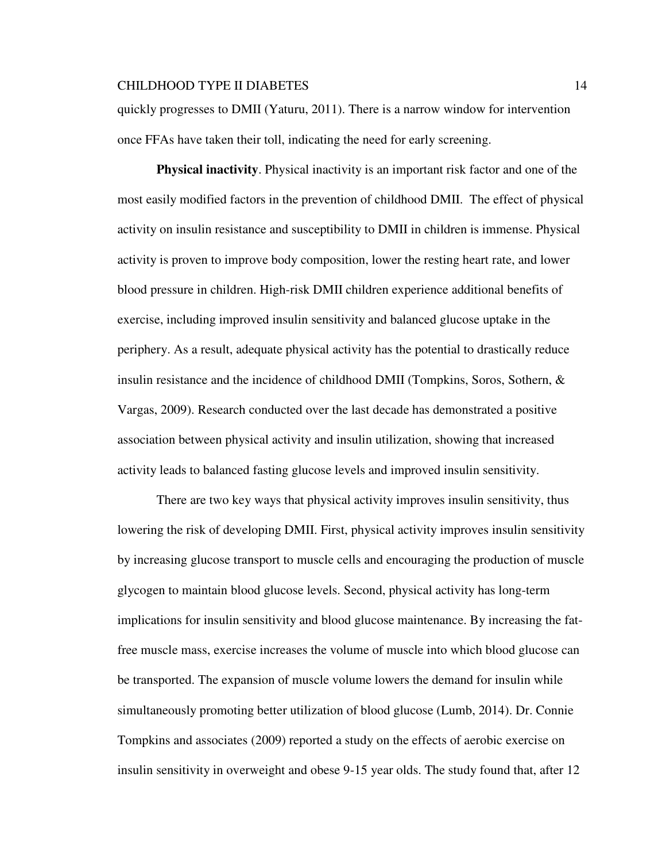quickly progresses to DMII (Yaturu, 2011). There is a narrow window for intervention once FFAs have taken their toll, indicating the need for early screening.

**Physical inactivity**. Physical inactivity is an important risk factor and one of the most easily modified factors in the prevention of childhood DMII. The effect of physical activity on insulin resistance and susceptibility to DMII in children is immense. Physical activity is proven to improve body composition, lower the resting heart rate, and lower blood pressure in children. High-risk DMII children experience additional benefits of exercise, including improved insulin sensitivity and balanced glucose uptake in the periphery. As a result, adequate physical activity has the potential to drastically reduce insulin resistance and the incidence of childhood DMII (Tompkins, Soros, Sothern, & Vargas, 2009). Research conducted over the last decade has demonstrated a positive association between physical activity and insulin utilization, showing that increased activity leads to balanced fasting glucose levels and improved insulin sensitivity.

There are two key ways that physical activity improves insulin sensitivity, thus lowering the risk of developing DMII. First, physical activity improves insulin sensitivity by increasing glucose transport to muscle cells and encouraging the production of muscle glycogen to maintain blood glucose levels. Second, physical activity has long-term implications for insulin sensitivity and blood glucose maintenance. By increasing the fatfree muscle mass, exercise increases the volume of muscle into which blood glucose can be transported. The expansion of muscle volume lowers the demand for insulin while simultaneously promoting better utilization of blood glucose (Lumb, 2014). Dr. Connie Tompkins and associates (2009) reported a study on the effects of aerobic exercise on insulin sensitivity in overweight and obese 9-15 year olds. The study found that, after 12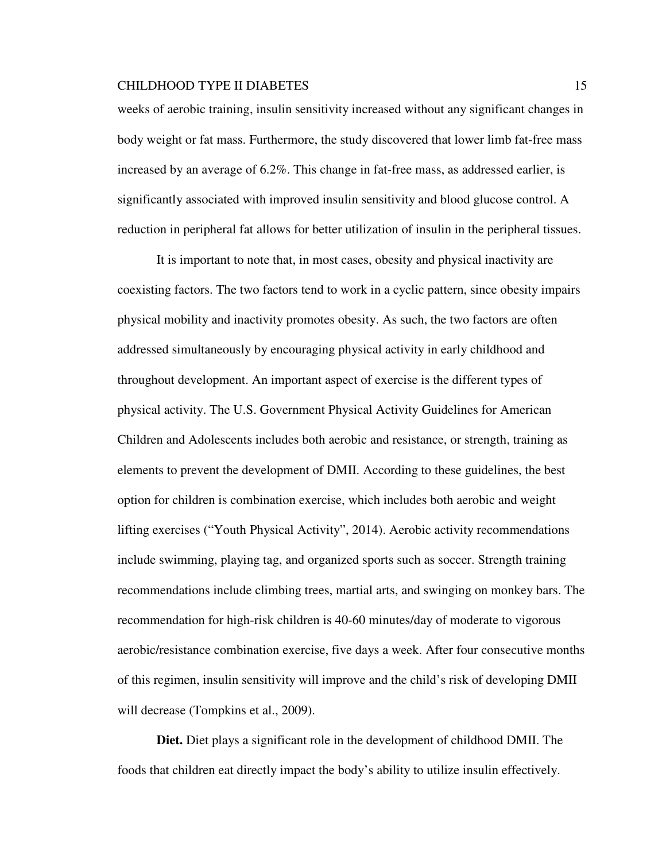weeks of aerobic training, insulin sensitivity increased without any significant changes in body weight or fat mass. Furthermore, the study discovered that lower limb fat-free mass increased by an average of 6.2%. This change in fat-free mass, as addressed earlier, is significantly associated with improved insulin sensitivity and blood glucose control. A reduction in peripheral fat allows for better utilization of insulin in the peripheral tissues.

It is important to note that, in most cases, obesity and physical inactivity are coexisting factors. The two factors tend to work in a cyclic pattern, since obesity impairs physical mobility and inactivity promotes obesity. As such, the two factors are often addressed simultaneously by encouraging physical activity in early childhood and throughout development. An important aspect of exercise is the different types of physical activity. The U.S. Government Physical Activity Guidelines for American Children and Adolescents includes both aerobic and resistance, or strength, training as elements to prevent the development of DMII. According to these guidelines, the best option for children is combination exercise, which includes both aerobic and weight lifting exercises ("Youth Physical Activity", 2014). Aerobic activity recommendations include swimming, playing tag, and organized sports such as soccer. Strength training recommendations include climbing trees, martial arts, and swinging on monkey bars. The recommendation for high-risk children is 40-60 minutes/day of moderate to vigorous aerobic/resistance combination exercise, five days a week. After four consecutive months of this regimen, insulin sensitivity will improve and the child's risk of developing DMII will decrease (Tompkins et al., 2009).

**Diet.** Diet plays a significant role in the development of childhood DMII. The foods that children eat directly impact the body's ability to utilize insulin effectively.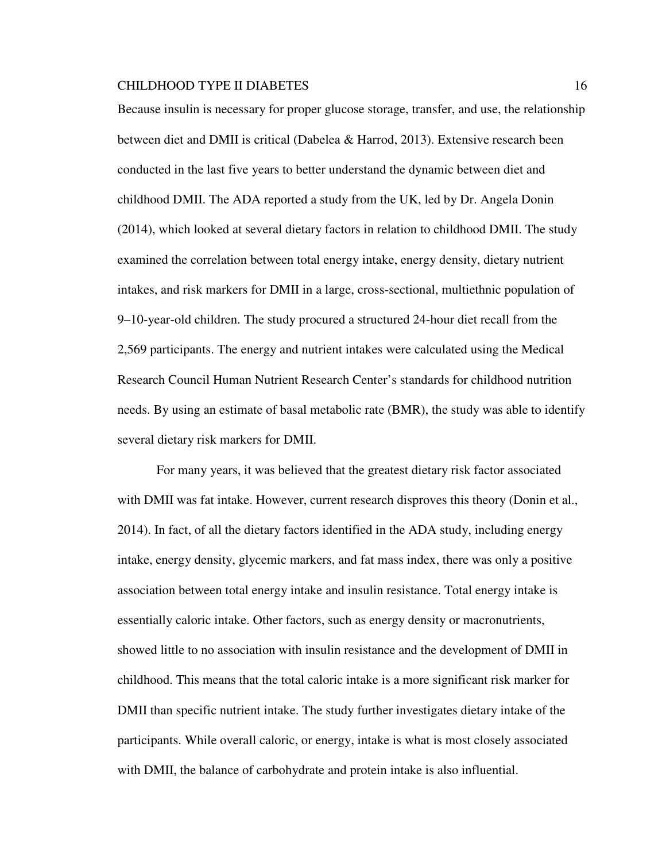Because insulin is necessary for proper glucose storage, transfer, and use, the relationship between diet and DMII is critical (Dabelea & Harrod, 2013). Extensive research been conducted in the last five years to better understand the dynamic between diet and childhood DMII. The ADA reported a study from the UK, led by Dr. Angela Donin (2014), which looked at several dietary factors in relation to childhood DMII. The study examined the correlation between total energy intake, energy density, dietary nutrient intakes, and risk markers for DMII in a large, cross-sectional, multiethnic population of 9–10-year-old children. The study procured a structured 24-hour diet recall from the 2,569 participants. The energy and nutrient intakes were calculated using the Medical Research Council Human Nutrient Research Center's standards for childhood nutrition needs. By using an estimate of basal metabolic rate (BMR), the study was able to identify several dietary risk markers for DMII.

For many years, it was believed that the greatest dietary risk factor associated with DMII was fat intake. However, current research disproves this theory (Donin et al., 2014). In fact, of all the dietary factors identified in the ADA study, including energy intake, energy density, glycemic markers, and fat mass index, there was only a positive association between total energy intake and insulin resistance. Total energy intake is essentially caloric intake. Other factors, such as energy density or macronutrients, showed little to no association with insulin resistance and the development of DMII in childhood. This means that the total caloric intake is a more significant risk marker for DMII than specific nutrient intake. The study further investigates dietary intake of the participants. While overall caloric, or energy, intake is what is most closely associated with DMII, the balance of carbohydrate and protein intake is also influential.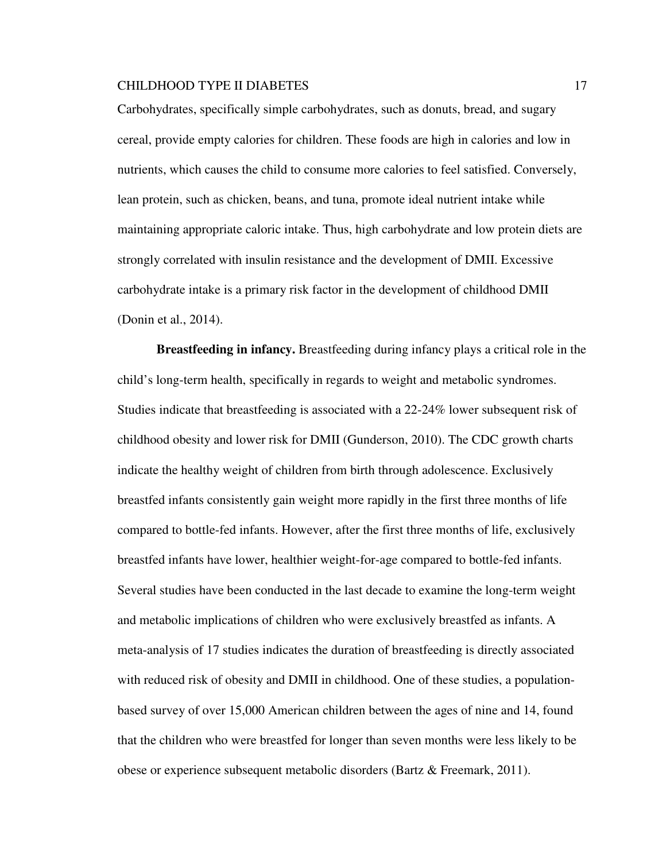Carbohydrates, specifically simple carbohydrates, such as donuts, bread, and sugary cereal, provide empty calories for children. These foods are high in calories and low in nutrients, which causes the child to consume more calories to feel satisfied. Conversely, lean protein, such as chicken, beans, and tuna, promote ideal nutrient intake while maintaining appropriate caloric intake. Thus, high carbohydrate and low protein diets are strongly correlated with insulin resistance and the development of DMII. Excessive carbohydrate intake is a primary risk factor in the development of childhood DMII (Donin et al., 2014).

**Breastfeeding in infancy.** Breastfeeding during infancy plays a critical role in the child's long-term health, specifically in regards to weight and metabolic syndromes. Studies indicate that breastfeeding is associated with a 22-24% lower subsequent risk of childhood obesity and lower risk for DMII (Gunderson, 2010). The CDC growth charts indicate the healthy weight of children from birth through adolescence. Exclusively breastfed infants consistently gain weight more rapidly in the first three months of life compared to bottle-fed infants. However, after the first three months of life, exclusively breastfed infants have lower, healthier weight-for-age compared to bottle-fed infants. Several studies have been conducted in the last decade to examine the long-term weight and metabolic implications of children who were exclusively breastfed as infants. A meta-analysis of 17 studies indicates the duration of breastfeeding is directly associated with reduced risk of obesity and DMII in childhood. One of these studies, a populationbased survey of over 15,000 American children between the ages of nine and 14, found that the children who were breastfed for longer than seven months were less likely to be obese or experience subsequent metabolic disorders (Bartz & Freemark, 2011).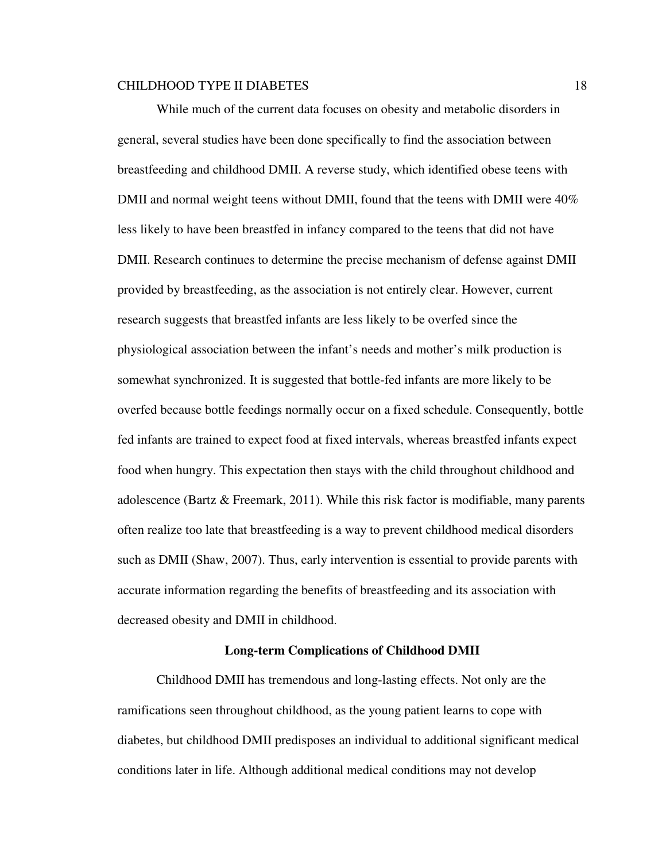While much of the current data focuses on obesity and metabolic disorders in general, several studies have been done specifically to find the association between breastfeeding and childhood DMII. A reverse study, which identified obese teens with DMII and normal weight teens without DMII, found that the teens with DMII were 40% less likely to have been breastfed in infancy compared to the teens that did not have DMII. Research continues to determine the precise mechanism of defense against DMII provided by breastfeeding, as the association is not entirely clear. However, current research suggests that breastfed infants are less likely to be overfed since the physiological association between the infant's needs and mother's milk production is somewhat synchronized. It is suggested that bottle-fed infants are more likely to be overfed because bottle feedings normally occur on a fixed schedule. Consequently, bottle fed infants are trained to expect food at fixed intervals, whereas breastfed infants expect food when hungry. This expectation then stays with the child throughout childhood and adolescence (Bartz & Freemark, 2011). While this risk factor is modifiable, many parents often realize too late that breastfeeding is a way to prevent childhood medical disorders such as DMII (Shaw, 2007). Thus, early intervention is essential to provide parents with accurate information regarding the benefits of breastfeeding and its association with decreased obesity and DMII in childhood.

#### **Long-term Complications of Childhood DMII**

Childhood DMII has tremendous and long-lasting effects. Not only are the ramifications seen throughout childhood, as the young patient learns to cope with diabetes, but childhood DMII predisposes an individual to additional significant medical conditions later in life. Although additional medical conditions may not develop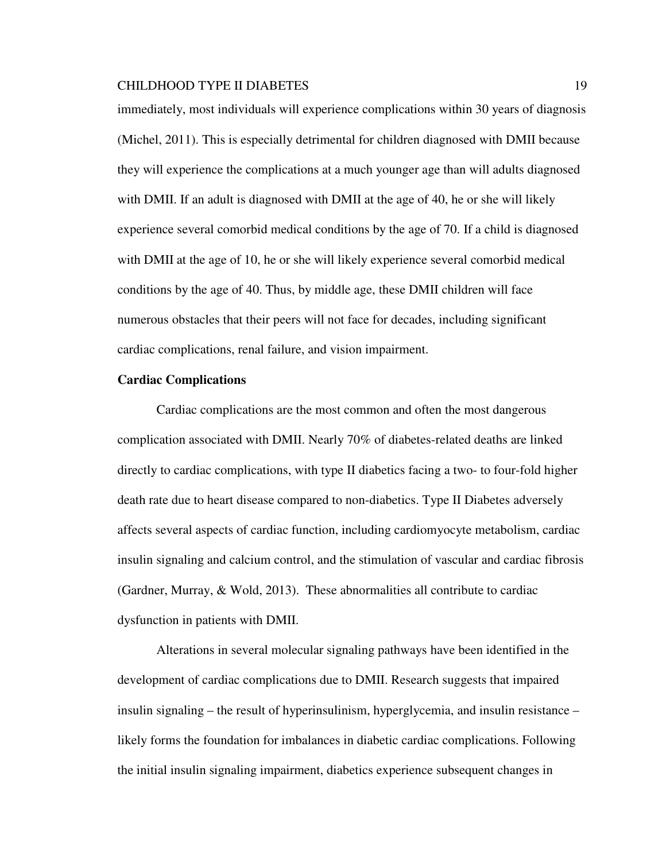immediately, most individuals will experience complications within 30 years of diagnosis (Michel, 2011). This is especially detrimental for children diagnosed with DMII because they will experience the complications at a much younger age than will adults diagnosed with DMII. If an adult is diagnosed with DMII at the age of 40, he or she will likely experience several comorbid medical conditions by the age of 70. If a child is diagnosed with DMII at the age of 10, he or she will likely experience several comorbid medical conditions by the age of 40. Thus, by middle age, these DMII children will face numerous obstacles that their peers will not face for decades, including significant cardiac complications, renal failure, and vision impairment.

## **Cardiac Complications**

Cardiac complications are the most common and often the most dangerous complication associated with DMII. Nearly 70% of diabetes-related deaths are linked directly to cardiac complications, with type II diabetics facing a two- to four-fold higher death rate due to heart disease compared to non-diabetics. Type II Diabetes adversely affects several aspects of cardiac function, including cardiomyocyte metabolism, cardiac insulin signaling and calcium control, and the stimulation of vascular and cardiac fibrosis (Gardner, Murray, & Wold, 2013). These abnormalities all contribute to cardiac dysfunction in patients with DMII.

Alterations in several molecular signaling pathways have been identified in the development of cardiac complications due to DMII. Research suggests that impaired insulin signaling – the result of hyperinsulinism, hyperglycemia, and insulin resistance – likely forms the foundation for imbalances in diabetic cardiac complications. Following the initial insulin signaling impairment, diabetics experience subsequent changes in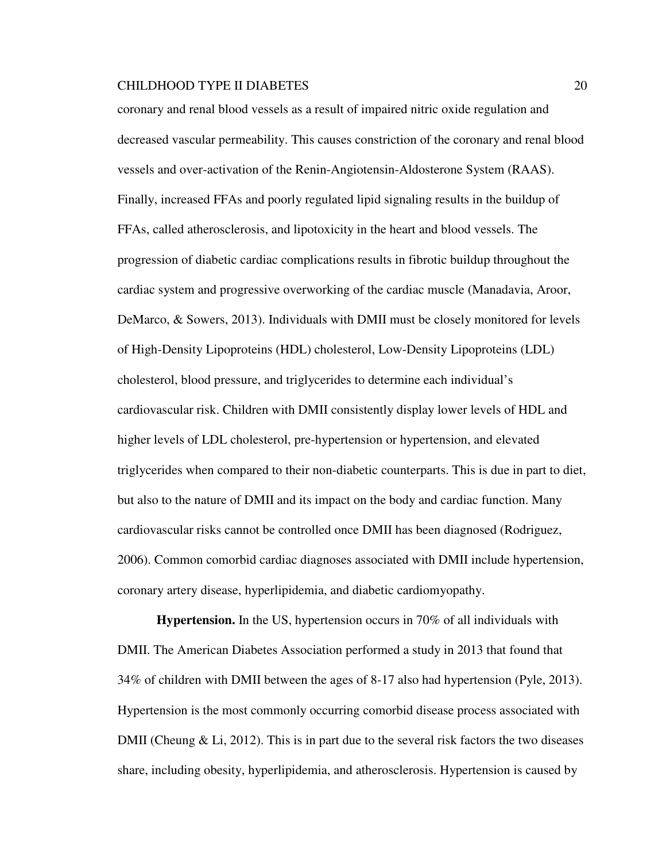coronary and renal blood vessels as a result of impaired nitric oxide regulation and decreased vascular permeability. This causes constriction of the coronary and renal blood vessels and over-activation of the Renin-Angiotensin-Aldosterone System (RAAS). Finally, increased FFAs and poorly regulated lipid signaling results in the buildup of FFAs, called atherosclerosis, and lipotoxicity in the heart and blood vessels. The progression of diabetic cardiac complications results in fibrotic buildup throughout the cardiac system and progressive overworking of the cardiac muscle (Manadavia, Aroor, DeMarco, & Sowers, 2013). Individuals with DMII must be closely monitored for levels of High-Density Lipoproteins (HDL) cholesterol, Low-Density Lipoproteins (LDL) cholesterol, blood pressure, and triglycerides to determine each individual's cardiovascular risk. Children with DMII consistently display lower levels of HDL and higher levels of LDL cholesterol, pre-hypertension or hypertension, and elevated triglycerides when compared to their non-diabetic counterparts. This is due in part to diet, but also to the nature of DMII and its impact on the body and cardiac function. Many cardiovascular risks cannot be controlled once DMII has been diagnosed (Rodriguez, 2006). Common comorbid cardiac diagnoses associated with DMII include hypertension, coronary artery disease, hyperlipidemia, and diabetic cardiomyopathy.

**Hypertension.** In the US, hypertension occurs in 70% of all individuals with DMII. The American Diabetes Association performed a study in 2013 that found that 34% of children with DMII between the ages of 8-17 also had hypertension (Pyle, 2013). Hypertension is the most commonly occurring comorbid disease process associated with DMII (Cheung  $\&$  Li, 2012). This is in part due to the several risk factors the two diseases share, including obesity, hyperlipidemia, and atherosclerosis. Hypertension is caused by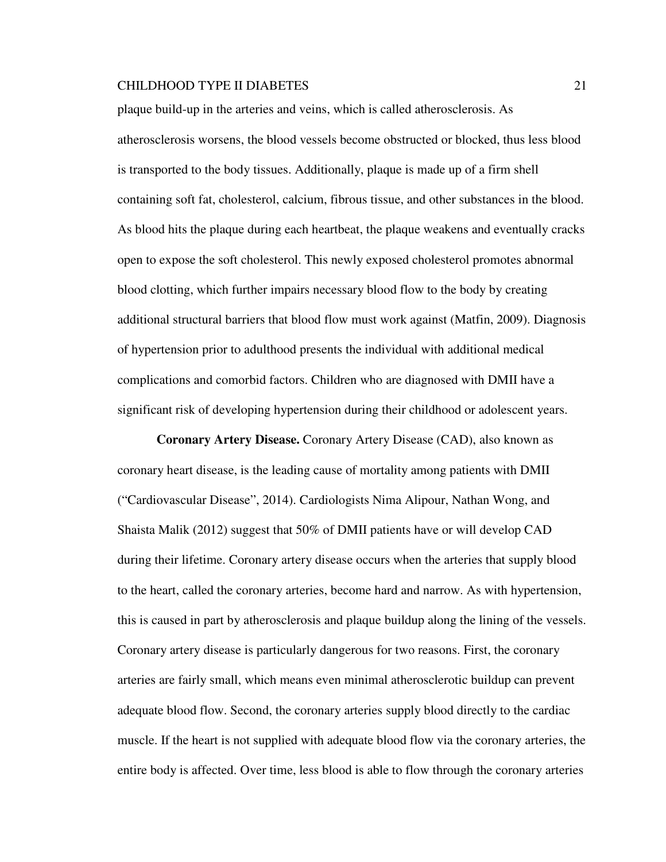plaque build-up in the arteries and veins, which is called atherosclerosis. As atherosclerosis worsens, the blood vessels become obstructed or blocked, thus less blood is transported to the body tissues. Additionally, plaque is made up of a firm shell containing soft fat, cholesterol, calcium, fibrous tissue, and other substances in the blood. As blood hits the plaque during each heartbeat, the plaque weakens and eventually cracks open to expose the soft cholesterol. This newly exposed cholesterol promotes abnormal blood clotting, which further impairs necessary blood flow to the body by creating additional structural barriers that blood flow must work against (Matfin, 2009). Diagnosis of hypertension prior to adulthood presents the individual with additional medical complications and comorbid factors. Children who are diagnosed with DMII have a significant risk of developing hypertension during their childhood or adolescent years.

 **Coronary Artery Disease.** Coronary Artery Disease (CAD), also known as coronary heart disease, is the leading cause of mortality among patients with DMII ("Cardiovascular Disease", 2014). Cardiologists Nima Alipour, Nathan Wong, and Shaista Malik (2012) suggest that 50% of DMII patients have or will develop CAD during their lifetime. Coronary artery disease occurs when the arteries that supply blood to the heart, called the coronary arteries, become hard and narrow. As with hypertension, this is caused in part by atherosclerosis and plaque buildup along the lining of the vessels. Coronary artery disease is particularly dangerous for two reasons. First, the coronary arteries are fairly small, which means even minimal atherosclerotic buildup can prevent adequate blood flow. Second, the coronary arteries supply blood directly to the cardiac muscle. If the heart is not supplied with adequate blood flow via the coronary arteries, the entire body is affected. Over time, less blood is able to flow through the coronary arteries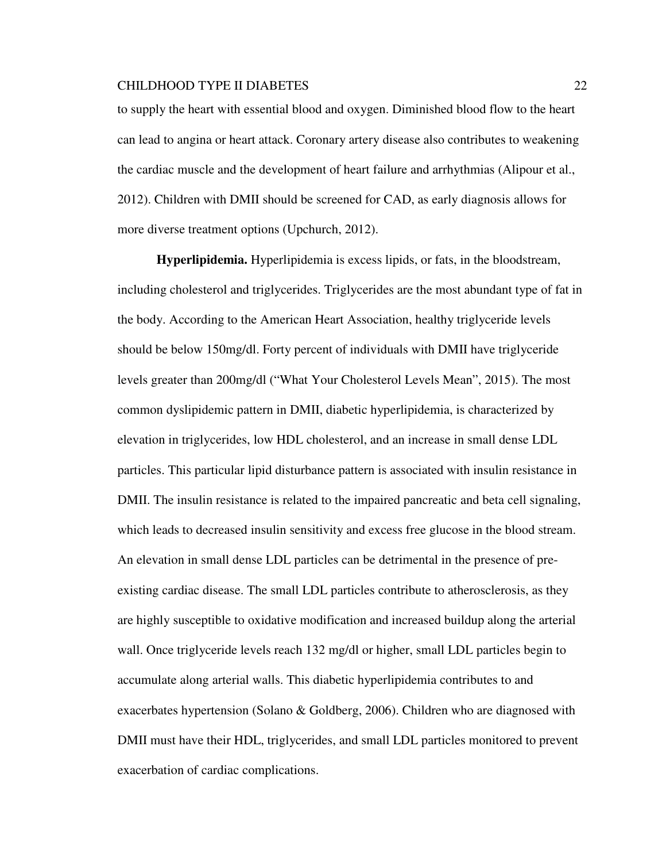to supply the heart with essential blood and oxygen. Diminished blood flow to the heart can lead to angina or heart attack. Coronary artery disease also contributes to weakening the cardiac muscle and the development of heart failure and arrhythmias (Alipour et al., 2012). Children with DMII should be screened for CAD, as early diagnosis allows for more diverse treatment options (Upchurch, 2012).

**Hyperlipidemia.** Hyperlipidemia is excess lipids, or fats, in the bloodstream, including cholesterol and triglycerides. Triglycerides are the most abundant type of fat in the body. According to the American Heart Association, healthy triglyceride levels should be below 150mg/dl. Forty percent of individuals with DMII have triglyceride levels greater than 200mg/dl ("What Your Cholesterol Levels Mean", 2015). The most common dyslipidemic pattern in DMII, diabetic hyperlipidemia, is characterized by elevation in triglycerides, low HDL cholesterol, and an increase in small dense LDL particles. This particular lipid disturbance pattern is associated with insulin resistance in DMII. The insulin resistance is related to the impaired pancreatic and beta cell signaling, which leads to decreased insulin sensitivity and excess free glucose in the blood stream. An elevation in small dense LDL particles can be detrimental in the presence of preexisting cardiac disease. The small LDL particles contribute to atherosclerosis, as they are highly susceptible to oxidative modification and increased buildup along the arterial wall. Once triglyceride levels reach 132 mg/dl or higher, small LDL particles begin to accumulate along arterial walls. This diabetic hyperlipidemia contributes to and exacerbates hypertension (Solano & Goldberg, 2006). Children who are diagnosed with DMII must have their HDL, triglycerides, and small LDL particles monitored to prevent exacerbation of cardiac complications.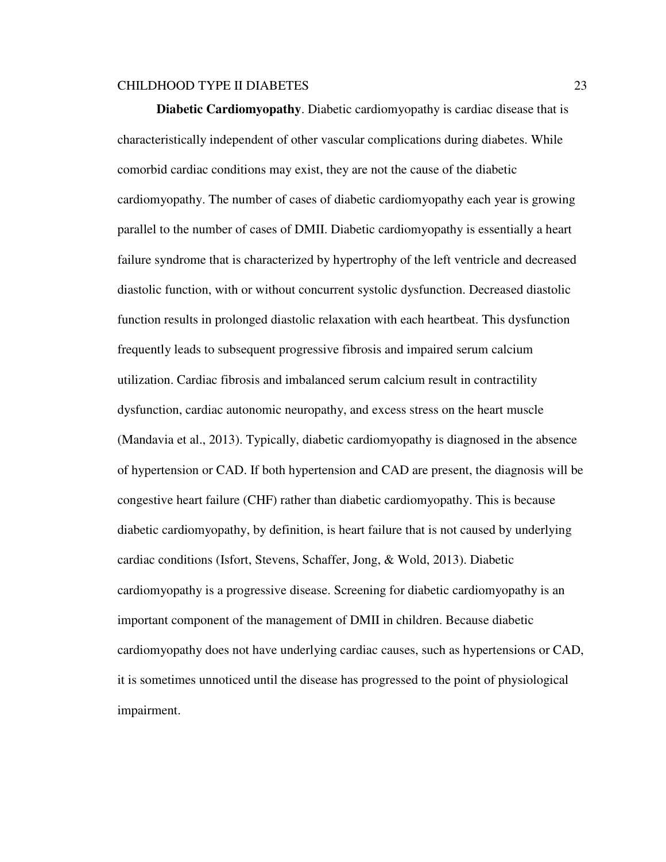**Diabetic Cardiomyopathy**. Diabetic cardiomyopathy is cardiac disease that is characteristically independent of other vascular complications during diabetes. While comorbid cardiac conditions may exist, they are not the cause of the diabetic cardiomyopathy. The number of cases of diabetic cardiomyopathy each year is growing parallel to the number of cases of DMII. Diabetic cardiomyopathy is essentially a heart failure syndrome that is characterized by hypertrophy of the left ventricle and decreased diastolic function, with or without concurrent systolic dysfunction. Decreased diastolic function results in prolonged diastolic relaxation with each heartbeat. This dysfunction frequently leads to subsequent progressive fibrosis and impaired serum calcium utilization. Cardiac fibrosis and imbalanced serum calcium result in contractility dysfunction, cardiac autonomic neuropathy, and excess stress on the heart muscle (Mandavia et al., 2013). Typically, diabetic cardiomyopathy is diagnosed in the absence of hypertension or CAD. If both hypertension and CAD are present, the diagnosis will be congestive heart failure (CHF) rather than diabetic cardiomyopathy. This is because diabetic cardiomyopathy, by definition, is heart failure that is not caused by underlying cardiac conditions (Isfort, Stevens, Schaffer, Jong, & Wold, 2013). Diabetic cardiomyopathy is a progressive disease. Screening for diabetic cardiomyopathy is an important component of the management of DMII in children. Because diabetic cardiomyopathy does not have underlying cardiac causes, such as hypertensions or CAD, it is sometimes unnoticed until the disease has progressed to the point of physiological impairment.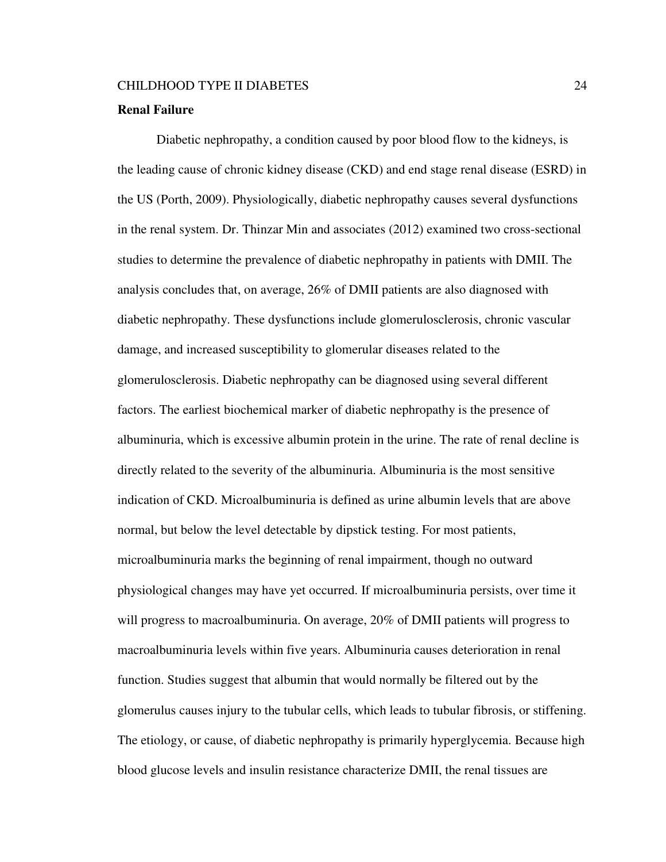### **Renal Failure**

Diabetic nephropathy, a condition caused by poor blood flow to the kidneys, is the leading cause of chronic kidney disease (CKD) and end stage renal disease (ESRD) in the US (Porth, 2009). Physiologically, diabetic nephropathy causes several dysfunctions in the renal system. Dr. Thinzar Min and associates (2012) examined two cross-sectional studies to determine the prevalence of diabetic nephropathy in patients with DMII. The analysis concludes that, on average, 26% of DMII patients are also diagnosed with diabetic nephropathy. These dysfunctions include glomerulosclerosis, chronic vascular damage, and increased susceptibility to glomerular diseases related to the glomerulosclerosis. Diabetic nephropathy can be diagnosed using several different factors. The earliest biochemical marker of diabetic nephropathy is the presence of albuminuria, which is excessive albumin protein in the urine. The rate of renal decline is directly related to the severity of the albuminuria. Albuminuria is the most sensitive indication of CKD. Microalbuminuria is defined as urine albumin levels that are above normal, but below the level detectable by dipstick testing. For most patients, microalbuminuria marks the beginning of renal impairment, though no outward physiological changes may have yet occurred. If microalbuminuria persists, over time it will progress to macroalbuminuria. On average, 20% of DMII patients will progress to macroalbuminuria levels within five years. Albuminuria causes deterioration in renal function. Studies suggest that albumin that would normally be filtered out by the glomerulus causes injury to the tubular cells, which leads to tubular fibrosis, or stiffening. The etiology, or cause, of diabetic nephropathy is primarily hyperglycemia. Because high blood glucose levels and insulin resistance characterize DMII, the renal tissues are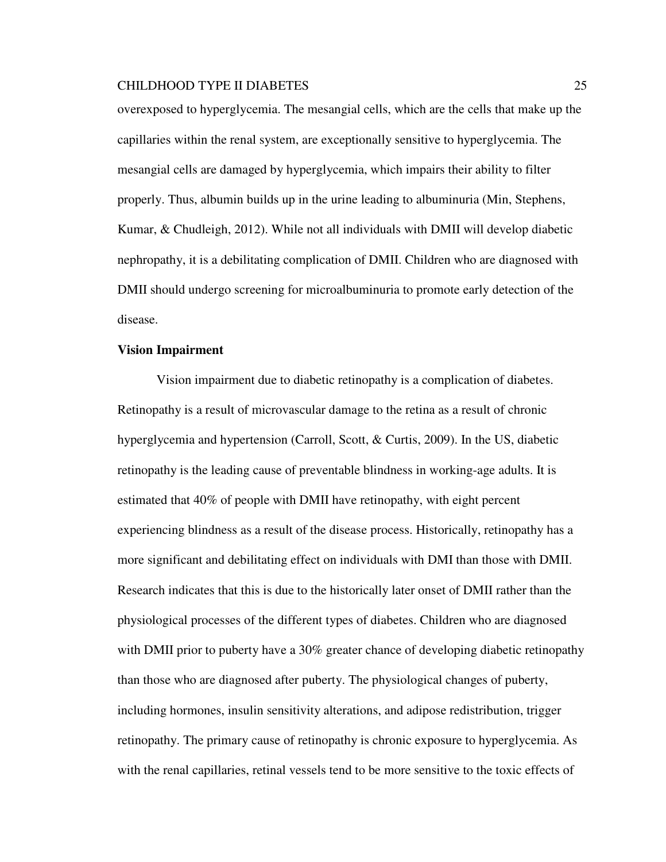overexposed to hyperglycemia. The mesangial cells, which are the cells that make up the capillaries within the renal system, are exceptionally sensitive to hyperglycemia. The mesangial cells are damaged by hyperglycemia, which impairs their ability to filter properly. Thus, albumin builds up in the urine leading to albuminuria (Min, Stephens, Kumar, & Chudleigh, 2012). While not all individuals with DMII will develop diabetic nephropathy, it is a debilitating complication of DMII. Children who are diagnosed with DMII should undergo screening for microalbuminuria to promote early detection of the disease.

#### **Vision Impairment**

Vision impairment due to diabetic retinopathy is a complication of diabetes. Retinopathy is a result of microvascular damage to the retina as a result of chronic hyperglycemia and hypertension (Carroll, Scott, & Curtis, 2009). In the US, diabetic retinopathy is the leading cause of preventable blindness in working-age adults. It is estimated that 40% of people with DMII have retinopathy, with eight percent experiencing blindness as a result of the disease process. Historically, retinopathy has a more significant and debilitating effect on individuals with DMI than those with DMII. Research indicates that this is due to the historically later onset of DMII rather than the physiological processes of the different types of diabetes. Children who are diagnosed with DMII prior to puberty have a 30% greater chance of developing diabetic retinopathy than those who are diagnosed after puberty. The physiological changes of puberty, including hormones, insulin sensitivity alterations, and adipose redistribution, trigger retinopathy. The primary cause of retinopathy is chronic exposure to hyperglycemia. As with the renal capillaries, retinal vessels tend to be more sensitive to the toxic effects of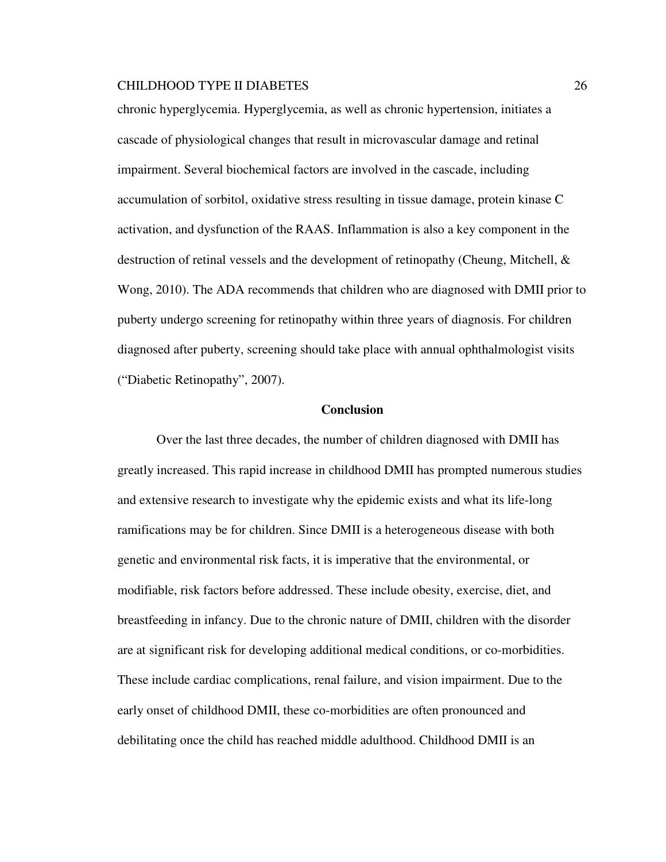chronic hyperglycemia. Hyperglycemia, as well as chronic hypertension, initiates a cascade of physiological changes that result in microvascular damage and retinal impairment. Several biochemical factors are involved in the cascade, including accumulation of sorbitol, oxidative stress resulting in tissue damage, protein kinase C activation, and dysfunction of the RAAS. Inflammation is also a key component in the destruction of retinal vessels and the development of retinopathy (Cheung, Mitchell, & Wong, 2010). The ADA recommends that children who are diagnosed with DMII prior to puberty undergo screening for retinopathy within three years of diagnosis. For children diagnosed after puberty, screening should take place with annual ophthalmologist visits ("Diabetic Retinopathy", 2007).

#### **Conclusion**

Over the last three decades, the number of children diagnosed with DMII has greatly increased. This rapid increase in childhood DMII has prompted numerous studies and extensive research to investigate why the epidemic exists and what its life-long ramifications may be for children. Since DMII is a heterogeneous disease with both genetic and environmental risk facts, it is imperative that the environmental, or modifiable, risk factors before addressed. These include obesity, exercise, diet, and breastfeeding in infancy. Due to the chronic nature of DMII, children with the disorder are at significant risk for developing additional medical conditions, or co-morbidities. These include cardiac complications, renal failure, and vision impairment. Due to the early onset of childhood DMII, these co-morbidities are often pronounced and debilitating once the child has reached middle adulthood. Childhood DMII is an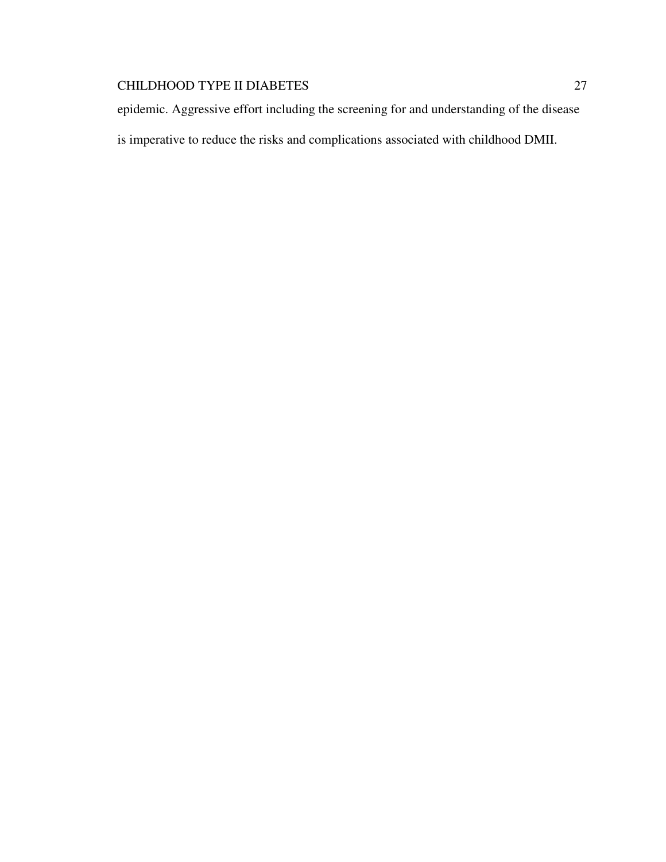epidemic. Aggressive effort including the screening for and understanding of the disease is imperative to reduce the risks and complications associated with childhood DMII.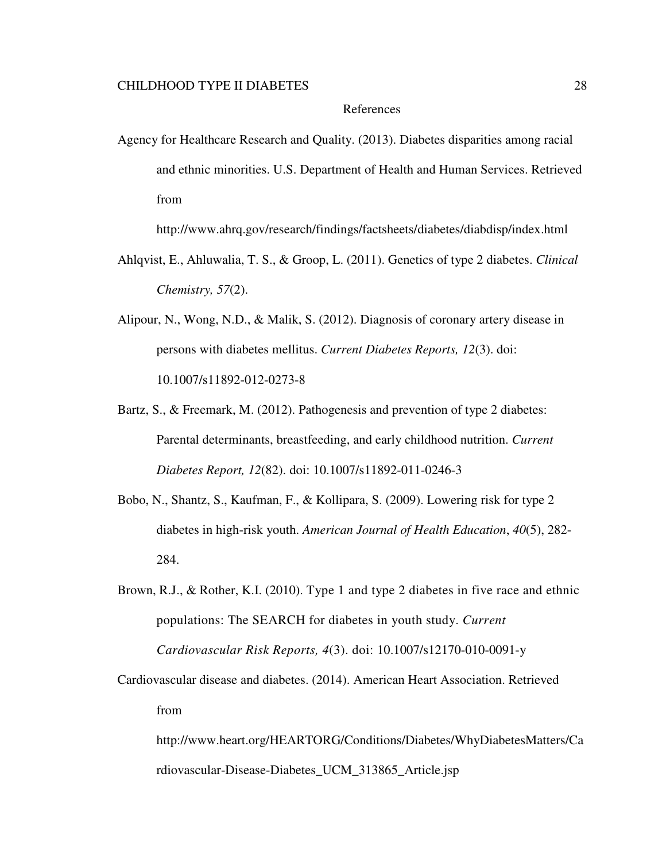## References

Agency for Healthcare Research and Quality. (2013). Diabetes disparities among racial and ethnic minorities. U.S. Department of Health and Human Services. Retrieved from

http://www.ahrq.gov/research/findings/factsheets/diabetes/diabdisp/index.html

- Ahlqvist, E., Ahluwalia, T. S., & Groop, L. (2011). Genetics of type 2 diabetes. *Clinical Chemistry, 57*(2).
- Alipour, N., Wong, N.D., & Malik, S. (2012). Diagnosis of coronary artery disease in persons with diabetes mellitus. *Current Diabetes Reports, 12*(3). doi: 10.1007/s11892-012-0273-8
- Bartz, S., & Freemark, M. (2012). Pathogenesis and prevention of type 2 diabetes: Parental determinants, breastfeeding, and early childhood nutrition. *Current Diabetes Report, 12*(82). doi: 10.1007/s11892-011-0246-3
- Bobo, N., Shantz, S., Kaufman, F., & Kollipara, S. (2009). Lowering risk for type 2 diabetes in high-risk youth. *American Journal of Health Education*, *40*(5), 282- 284.
- Brown, R.J., & Rother, K.I. (2010). Type 1 and type 2 diabetes in five race and ethnic populations: The SEARCH for diabetes in youth study. *Current Cardiovascular Risk Reports, 4*(3). doi: 10.1007/s12170-010-0091-y
- Cardiovascular disease and diabetes. (2014). American Heart Association. Retrieved from

http://www.heart.org/HEARTORG/Conditions/Diabetes/WhyDiabetesMatters/Ca rdiovascular-Disease-Diabetes\_UCM\_313865\_Article.jsp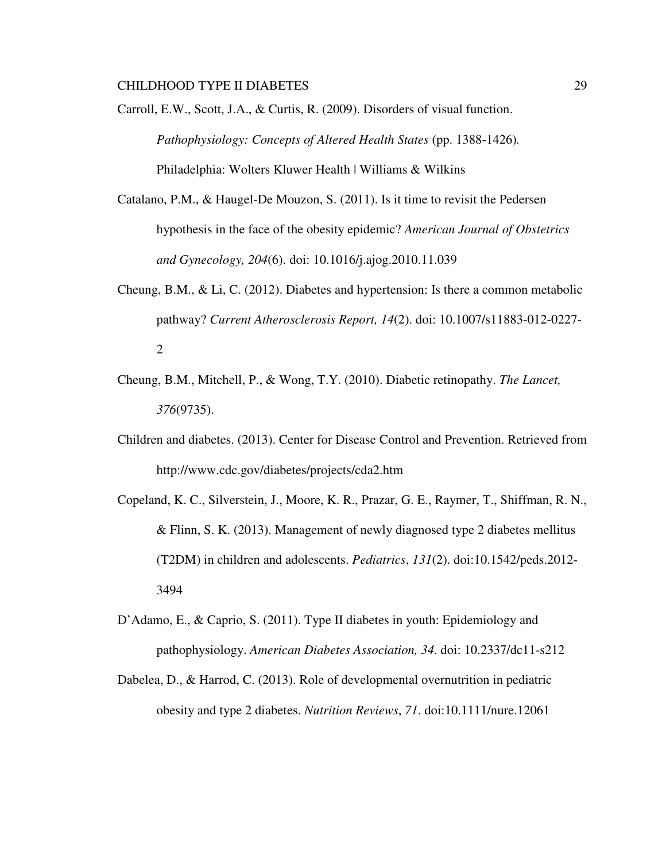Carroll, E.W., Scott, J.A., & Curtis, R. (2009). Disorders of visual function. *Pathophysiology: Concepts of Altered Health States* (pp. 1388-1426)*.* Philadelphia: Wolters Kluwer Health | Williams & Wilkins

- Catalano, P.M., & Haugel-De Mouzon, S. (2011). Is it time to revisit the Pedersen hypothesis in the face of the obesity epidemic? *American Journal of Obstetrics and Gynecology, 204*(6). doi: 10.1016/j.ajog.2010.11.039
- Cheung, B.M., & Li, C. (2012). Diabetes and hypertension: Is there a common metabolic pathway? *Current Atherosclerosis Report, 14*(2). doi: 10.1007/s11883-012-0227- 2
- Cheung, B.M., Mitchell, P., & Wong, T.Y. (2010). Diabetic retinopathy. *The Lancet, 376*(9735).
- Children and diabetes. (2013). Center for Disease Control and Prevention. Retrieved from http://www.cdc.gov/diabetes/projects/cda2.htm
- Copeland, K. C., Silverstein, J., Moore, K. R., Prazar, G. E., Raymer, T., Shiffman, R. N., & Flinn, S. K. (2013). Management of newly diagnosed type 2 diabetes mellitus (T2DM) in children and adolescents. *Pediatrics*, *131*(2). doi:10.1542/peds.2012- 3494
- D'Adamo, E., & Caprio, S. (2011). Type II diabetes in youth: Epidemiology and pathophysiology. *American Diabetes Association, 34*. doi: 10.2337/dc11-s212
- Dabelea, D., & Harrod, C. (2013). Role of developmental overnutrition in pediatric obesity and type 2 diabetes. *Nutrition Reviews*, *71*. doi:10.1111/nure.12061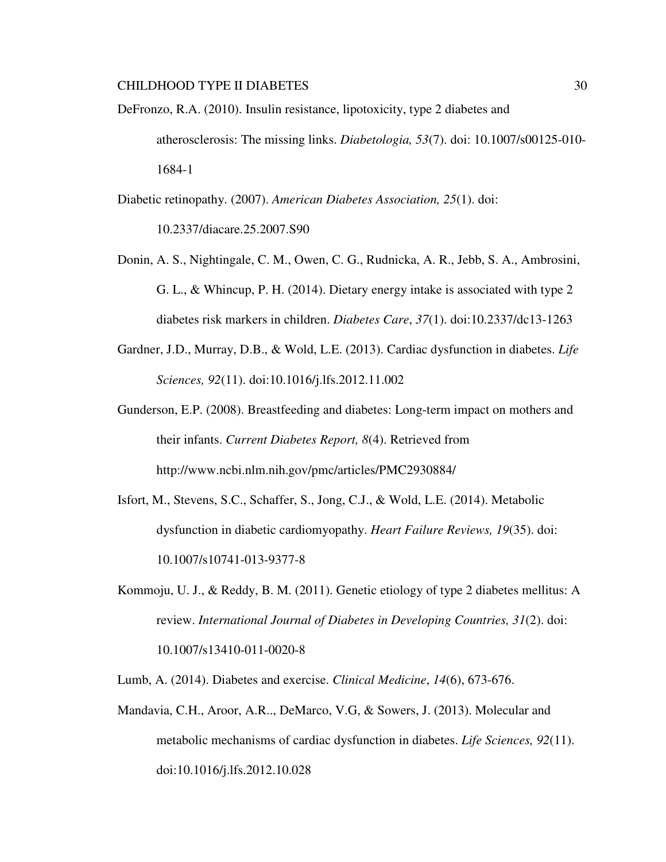- DeFronzo, R.A. (2010). Insulin resistance, lipotoxicity, type 2 diabetes and atherosclerosis: The missing links. *Diabetologia, 53*(7). doi: 10.1007/s00125-010- 1684-1
- Diabetic retinopathy. (2007). *American Diabetes Association, 25*(1). doi: 10.2337/diacare.25.2007.S90
- Donin, A. S., Nightingale, C. M., Owen, C. G., Rudnicka, A. R., Jebb, S. A., Ambrosini, G. L., & Whincup, P. H. (2014). Dietary energy intake is associated with type 2 diabetes risk markers in children. *Diabetes Care*, *37*(1). doi:10.2337/dc13-1263
- Gardner, J.D., Murray, D.B., & Wold, L.E. (2013). Cardiac dysfunction in diabetes. *Life Sciences, 92*(11). doi:10.1016/j.lfs.2012.11.002
- Gunderson, E.P. (2008). Breastfeeding and diabetes: Long-term impact on mothers and their infants. *Current Diabetes Report, 8*(4). Retrieved from http://www.ncbi.nlm.nih.gov/pmc/articles/PMC2930884/
- Isfort, M., Stevens, S.C., Schaffer, S., Jong, C.J., & Wold, L.E. (2014). Metabolic dysfunction in diabetic cardiomyopathy. *Heart Failure Reviews, 19*(35). doi: 10.1007/s10741-013-9377-8
- Kommoju, U. J., & Reddy, B. M. (2011). Genetic etiology of type 2 diabetes mellitus: A review. *International Journal of Diabetes in Developing Countries, 31*(2). doi: 10.1007/s13410-011-0020-8

Lumb, A. (2014). Diabetes and exercise. *Clinical Medicine*, *14*(6), 673-676.

Mandavia, C.H., Aroor, A.R.., DeMarco, V.G, & Sowers, J. (2013). Molecular and metabolic mechanisms of cardiac dysfunction in diabetes. *Life Sciences, 92*(11). doi:10.1016/j.lfs.2012.10.028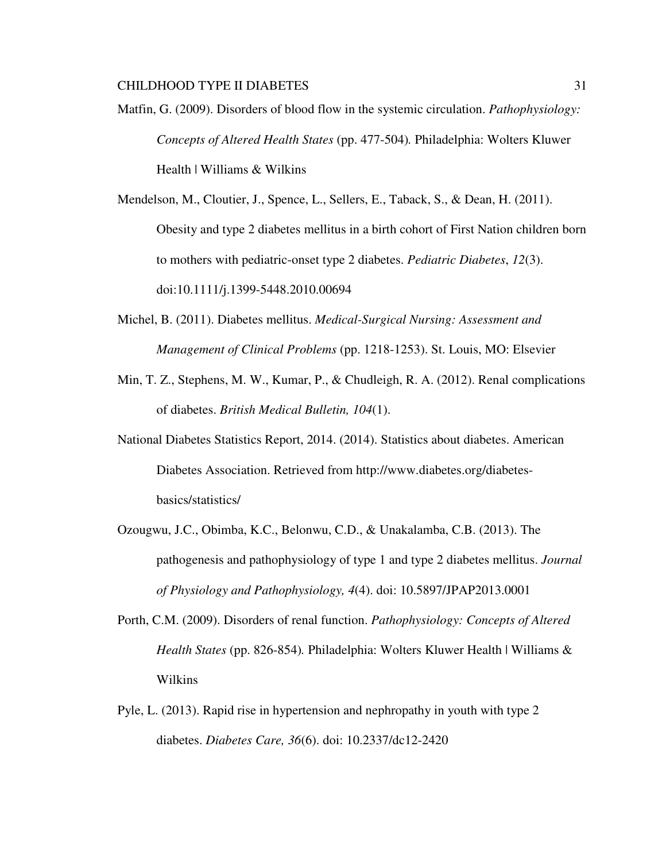Matfin, G. (2009). Disorders of blood flow in the systemic circulation. *Pathophysiology: Concepts of Altered Health States* (pp. 477-504)*.* Philadelphia: Wolters Kluwer Health | Williams & Wilkins

Mendelson, M., Cloutier, J., Spence, L., Sellers, E., Taback, S., & Dean, H. (2011). Obesity and type 2 diabetes mellitus in a birth cohort of First Nation children born to mothers with pediatric-onset type 2 diabetes. *Pediatric Diabetes*, *12*(3). doi:10.1111/j.1399-5448.2010.00694

- Michel, B. (2011). Diabetes mellitus. *Medical-Surgical Nursing: Assessment and Management of Clinical Problems* (pp. 1218-1253). St. Louis, MO: Elsevier
- Min, T. Z., Stephens, M. W., Kumar, P., & Chudleigh, R. A. (2012). Renal complications of diabetes. *British Medical Bulletin, 104*(1).
- National Diabetes Statistics Report, 2014. (2014). Statistics about diabetes. American Diabetes Association. Retrieved from http://www.diabetes.org/diabetesbasics/statistics/
- Ozougwu, J.C., Obimba, K.C., Belonwu, C.D., & Unakalamba, C.B. (2013). The pathogenesis and pathophysiology of type 1 and type 2 diabetes mellitus. *Journal of Physiology and Pathophysiology, 4*(4). doi: 10.5897/JPAP2013.0001
- Porth, C.M. (2009). Disorders of renal function. *Pathophysiology: Concepts of Altered Health States* (pp. 826-854)*.* Philadelphia: Wolters Kluwer Health | Williams & Wilkins
- Pyle, L. (2013). Rapid rise in hypertension and nephropathy in youth with type 2 diabetes. *Diabetes Care, 36*(6). doi: 10.2337/dc12-2420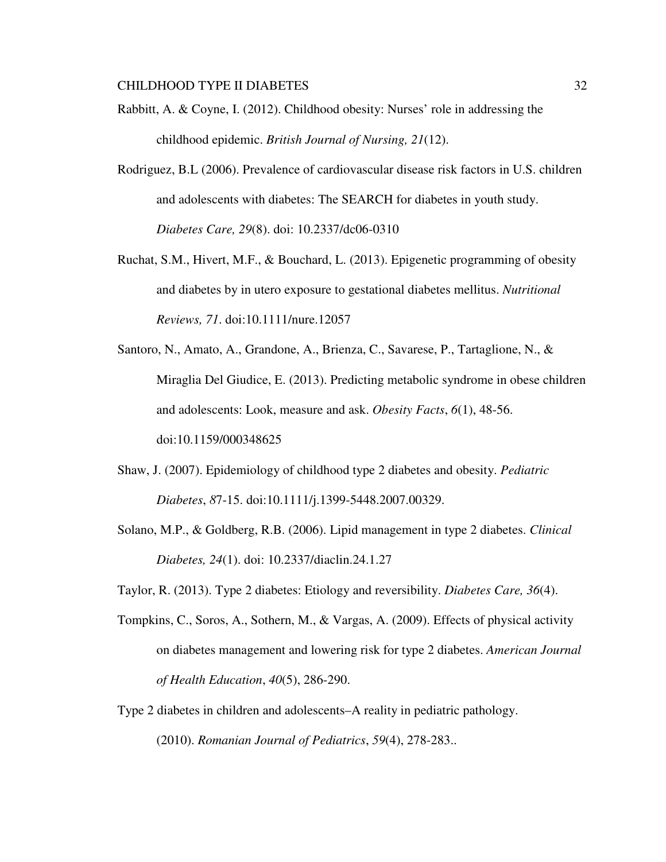- Rabbitt, A. & Coyne, I. (2012). Childhood obesity: Nurses' role in addressing the childhood epidemic. *British Journal of Nursing, 21*(12).
- Rodriguez, B.L (2006). Prevalence of cardiovascular disease risk factors in U.S. children and adolescents with diabetes: The SEARCH for diabetes in youth study. *Diabetes Care, 29*(8). doi: 10.2337/dc06-0310
- Ruchat, S.M., Hivert, M.F., & Bouchard, L. (2013). Epigenetic programming of obesity and diabetes by in utero exposure to gestational diabetes mellitus. *Nutritional Reviews, 71*. doi:10.1111/nure.12057
- Santoro, N., Amato, A., Grandone, A., Brienza, C., Savarese, P., Tartaglione, N., & Miraglia Del Giudice, E. (2013). Predicting metabolic syndrome in obese children and adolescents: Look, measure and ask. *Obesity Facts*, *6*(1), 48-56. doi:10.1159/000348625
- Shaw, J. (2007). Epidemiology of childhood type 2 diabetes and obesity. *Pediatric Diabetes*, *8*7-15. doi:10.1111/j.1399-5448.2007.00329.
- Solano, M.P., & Goldberg, R.B. (2006). Lipid management in type 2 diabetes. *Clinical Diabetes, 24*(1). doi: 10.2337/diaclin.24.1.27
- Taylor, R. (2013). Type 2 diabetes: Etiology and reversibility. *Diabetes Care, 36*(4).
- Tompkins, C., Soros, A., Sothern, M., & Vargas, A. (2009). Effects of physical activity on diabetes management and lowering risk for type 2 diabetes. *American Journal of Health Education*, *40*(5), 286-290.
- Type 2 diabetes in children and adolescents–A reality in pediatric pathology. (2010). *Romanian Journal of Pediatrics*, *59*(4), 278-283..